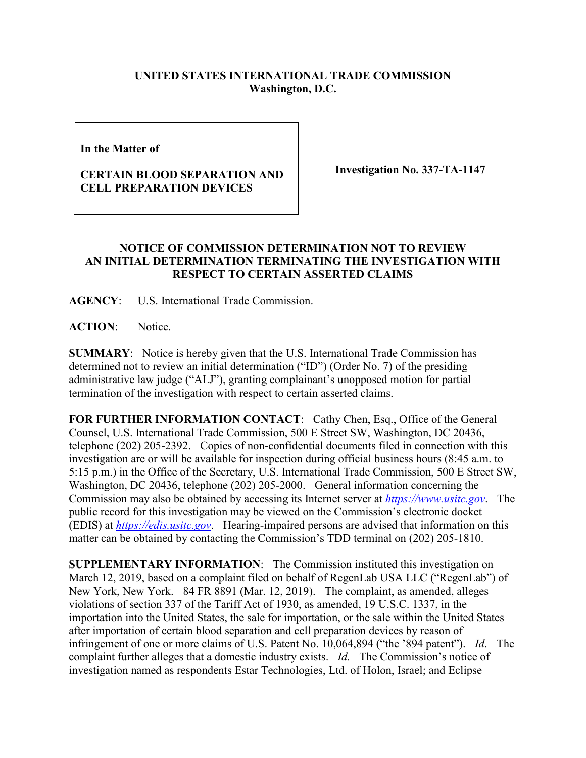## **UNITED STATES INTERNATIONAL TRADE COMMISSION Washington, D.C.**

**In the Matter of** 

## **CERTAIN BLOOD SEPARATION AND CELL PREPARATION DEVICES**

**Investigation No. 337-TA-1147**

## **NOTICE OF COMMISSION DETERMINATION NOT TO REVIEW AN INITIAL DETERMINATION TERMINATING THE INVESTIGATION WITH RESPECT TO CERTAIN ASSERTED CLAIMS**

**AGENCY**: U.S. International Trade Commission.

**ACTION**: Notice.

**SUMMARY**: Notice is hereby given that the U.S. International Trade Commission has determined not to review an initial determination ("ID") (Order No. 7) of the presiding administrative law judge ("ALJ"), granting complainant's unopposed motion for partial termination of the investigation with respect to certain asserted claims.

FOR FURTHER INFORMATION CONTACT: Cathy Chen, Esq., Office of the General Counsel, U.S. International Trade Commission, 500 E Street SW, Washington, DC 20436, telephone (202) 205-2392. Copies of non-confidential documents filed in connection with this investigation are or will be available for inspection during official business hours (8:45 a.m. to 5:15 p.m.) in the Office of the Secretary, U.S. International Trade Commission, 500 E Street SW, Washington, DC 20436, telephone (202) 205-2000. General information concerning the Commission may also be obtained by accessing its Internet server at *[https://www.usitc.gov](https://www.usitc.gov/)*. The public record for this investigation may be viewed on the Commission's electronic docket (EDIS) at *[https://edis.usitc.gov](https://edis.usitc.gov/)*. Hearing-impaired persons are advised that information on this matter can be obtained by contacting the Commission's TDD terminal on (202) 205-1810.

**SUPPLEMENTARY INFORMATION**: The Commission instituted this investigation on March 12, 2019, based on a complaint filed on behalf of RegenLab USA LLC ("RegenLab") of New York, New York. 84 FR 8891 (Mar. 12, 2019). The complaint, as amended, alleges violations of section 337 of the Tariff Act of 1930, as amended, 19 U.S.C. 1337, in the importation into the United States, the sale for importation, or the sale within the United States after importation of certain blood separation and cell preparation devices by reason of infringement of one or more claims of U.S. Patent No. 10,064,894 ("the '894 patent"). *Id*. The complaint further alleges that a domestic industry exists. *Id.* The Commission's notice of investigation named as respondents Estar Technologies, Ltd. of Holon, Israel; and Eclipse